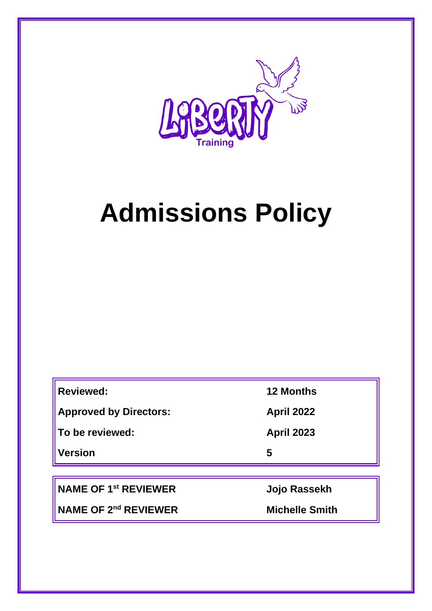

# **Admissions Policy**

| <b>Reviewed:</b>              | <b>12 Months</b>  |
|-------------------------------|-------------------|
| <b>Approved by Directors:</b> | <b>April 2022</b> |
| To be reviewed:               | <b>April 2023</b> |
| <b>Version</b>                | 5                 |

**NAME OF 1st REVIEWER Jojo Rassekh**

**NAME OF 2nd REVIEWER Michelle Smith**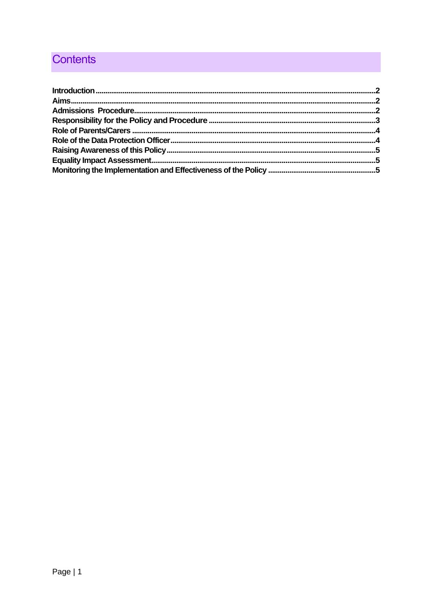## **Contents**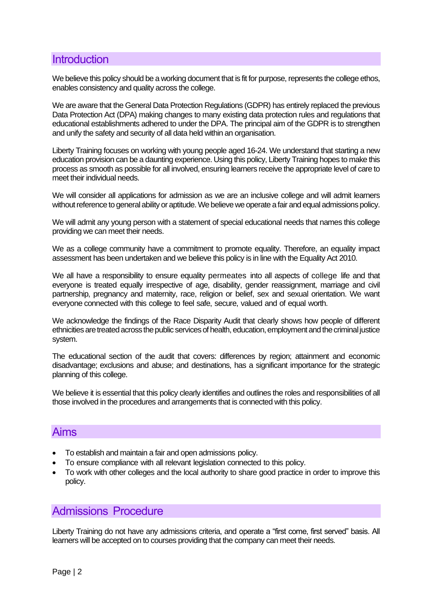## <span id="page-2-0"></span>**Introduction**

We believe this policy should be a working document that is fit for purpose, represents the college ethos, enables consistency and quality across the college.

We are aware that the General Data Protection Regulations (GDPR) has entirely replaced the previous Data Protection Act (DPA) making changes to many existing data protection rules and regulations that educational establishments adhered to under the DPA. The principal aim of the GDPR is to strengthen and unify the safety and security of all data held within an organisation.

Liberty Training focuses on working with young people aged 16-24. We understand that starting a new education provision can be a daunting experience. Using this policy, Liberty Training hopes to make this process as smooth as possible for all involved, ensuring learners receive the appropriate level of care to meet their individual needs.

We will consider all applications for admission as we are an inclusive college and will admit learners without reference to general ability or aptitude. We believe we operate a fair and equal admissions policy.

We will admit any young person with a statement of special educational needs that names this college providing we can meet their needs.

We as a college community have a commitment to promote equality. Therefore, an equality impact assessment has been undertaken and we believe this policy is in line with the Equality Act 2010.

We all have a responsibility to ensure equality permeates into all aspects of college life and that everyone is treated equally irrespective of age, disability, gender reassignment, marriage and civil partnership, pregnancy and maternity, race, religion or belief, sex and sexual orientation. We want everyone connected with this college to feel safe, secure, valued and of equal worth.

We acknowledge the findings of the Race Disparity Audit that clearly shows how people of different ethnicities are treated across the public services of health, education, employment and the criminal justice system.

The educational section of the audit that covers: differences by region; attainment and economic disadvantage; exclusions and abuse; and destinations, has a significant importance for the strategic planning of this college.

We believe it is essential that this policy clearly identifies and outlines the roles and responsibilities of all those involved in the procedures and arrangements that is connected with this policy.

#### <span id="page-2-1"></span>Aims

- To establish and maintain a fair and open admissions policy.
- To ensure compliance with all relevant legislation connected to this policy.
- To work with other colleges and the local authority to share good practice in order to improve this policy.

## <span id="page-2-2"></span>Admissions Procedure

Liberty Training do not have any admissions criteria, and operate a "first come, first served" basis. All learners will be accepted on to courses providing that the company can meet their needs.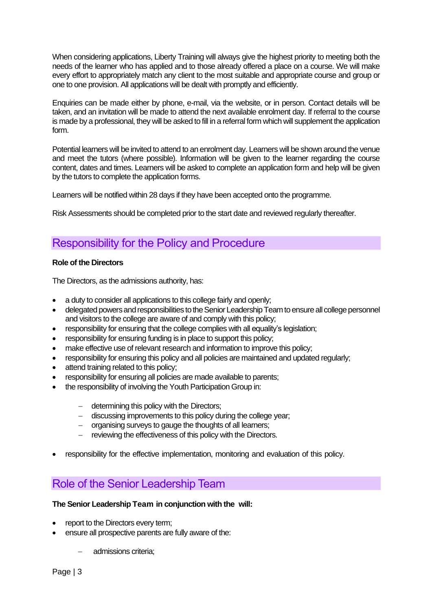When considering applications, Liberty Training will always give the highest priority to meeting both the needs of the learner who has applied and to those already offered a place on a course. We will make every effort to appropriately match any client to the most suitable and appropriate course and group or one to one provision. All applications will be dealt with promptly and efficiently.

Enquiries can be made either by phone, e-mail, via the website, or in person. Contact details will be taken, and an invitation will be made to attend the next available enrolment day. If referral to the course is made by a professional, they will be asked to fill in a referral form which will supplement the application form.

Potential learners will be invited to attend to an enrolment day. Learners will be shown around the venue and meet the tutors (where possible). Information will be given to the learner regarding the course content, dates and times. Learners will be asked to complete an application form and help will be given by the tutors to complete the application forms.

Learners will be notified within 28 days if they have been accepted onto the programme.

Risk Assessments should be completed prior to the start date and reviewed regularly thereafter.

## <span id="page-3-0"></span>Responsibility for the Policy and Procedure

#### **Role of the Directors**

The Directors, as the admissions authority, has:

- a duty to consider all applications to this college fairly and openly;
- delegated powers and responsibilities to the Senior Leadership Team to ensure all college personnel and visitors to the college are aware of and comply with this policy;
- responsibility for ensuring that the college complies with all equality's legislation;
- responsibility for ensuring funding is in place to support this policy;
- make effective use of relevant research and information to improve this policy;
- responsibility for ensuring this policy and all policies are maintained and updated regularly;
- attend training related to this policy;
- responsibility for ensuring all policies are made available to parents;
- the responsibility of involving the Youth Participation Group in:
	- − determining this policy with the Directors;
	- − discussing improvements to this policy during the college year;
	- − organising surveys to gauge the thoughts of all learners;
	- reviewing the effectiveness of this policy with the Directors.
- responsibility for the effective implementation, monitoring and evaluation of this policy.

## Role of the Senior Leadership Team

#### **The Senior Leadership Team in conjunction with the will:**

- report to the Directors every term;
- ensure all prospective parents are fully aware of the:
	- − admissions criteria;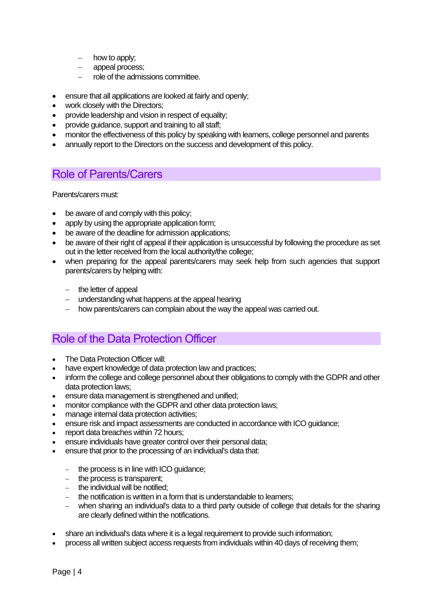- how to apply;
- appeal process;
- − role of the admissions committee.
- ensure that all applications are looked at fairly and openly:
- work closely with the Directors;
- provide leadership and vision in respect of equality;
- provide guidance, support and training to all staff;
- monitor the effectiveness of this policy by speaking with learners, college personnel and parents
- annually report to the Directors on the success and development of this policy.

## <span id="page-4-0"></span>Role of Parents/Carers

Parents/carers must:

- be aware of and comply with this policy;
- apply by using the appropriate application form;
- be aware of the deadline for admission applications;
- be aware of their right of appeal if their application is unsuccessful by following the procedure as set out in the letter received from the local authority/the college;
- when preparing for the appeal parents/carers may seek help from such agencies that support parents/carers by helping with:
	- − the letter of appeal
	- − understanding what happens at the appeal hearing
	- − how parents/carers can complain about the way the appeal was carried out.

## <span id="page-4-1"></span>Role of the Data Protection Officer

- The Data Protection Officer will:
- have expert knowledge of data protection law and practices;
- inform the college and college personnel about their obligations to comply with the GDPR and other data protection laws;
- ensure data management is strengthened and unified;
- monitor compliance with the GDPR and other data protection laws;
- manage internal data protection activities;
- ensure risk and impact assessments are conducted in accordance with ICO guidance;
- report data breaches within 72 hours;
- ensure individuals have greater control over their personal data;
- ensure that prior to the processing of an individual's data that:
	- − the process is in line with ICO guidance;
	- − the process is transparent;
	- − the individual will be notified;
	- − the notification is written in a form that is understandable to learners;
	- − when sharing an individual's data to a third party outside of college that details for the sharing are clearly defined within the notifications.
- share an individual's data where it is a legal requirement to provide such information;
- process all written subject access requests from individuals within 40 days of receiving them;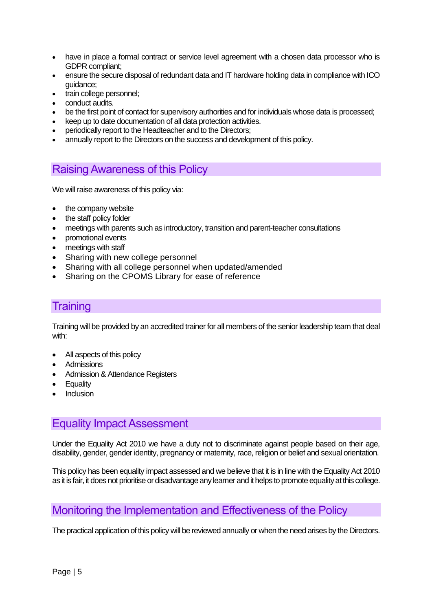- have in place a formal contract or service level agreement with a chosen data processor who is GDPR compliant;
- ensure the secure disposal of redundant data and IT hardware holding data in compliance with ICO guidance;
- train college personnel;
- conduct audits.
- be the first point of contact for supervisory authorities and for individuals whose data is processed;
- keep up to date documentation of all data protection activities.
- periodically report to the Headteacher and to the Directors;
- annually report to the Directors on the success and development of this policy.

### <span id="page-5-0"></span>Raising Awareness of this Policy

We will raise awareness of this policy via:

- the company website
- the staff policy folder
- meetings with parents such as introductory, transition and parent-teacher consultations
- promotional events
- meetings with staff
- Sharing with new college personnel
- Sharing with all college personnel when updated/amended
- Sharing on the CPOMS Library for ease of reference

## **Training**

Training will be provided by an accredited trainer for all members of the senior leadership team that deal with:

- All aspects of this policy
- **Admissions**
- Admission & Attendance Registers
- Equality
- **Inclusion**

## <span id="page-5-1"></span>Equality Impact Assessment

Under the Equality Act 2010 we have a duty not to discriminate against people based on their age, disability, gender, gender identity, pregnancy or maternity, race, religion or belief and sexual orientation.

This policy has been equality impact assessed and we believe that it is in line with the Equality Act 2010 as it is fair, it does not prioritise or disadvantage any learner and it helps to promote equality at this college.

## <span id="page-5-2"></span>Monitoring the Implementation and Effectiveness of the Policy

The practical application of this policy will be reviewed annually or when the need arises by the Directors.